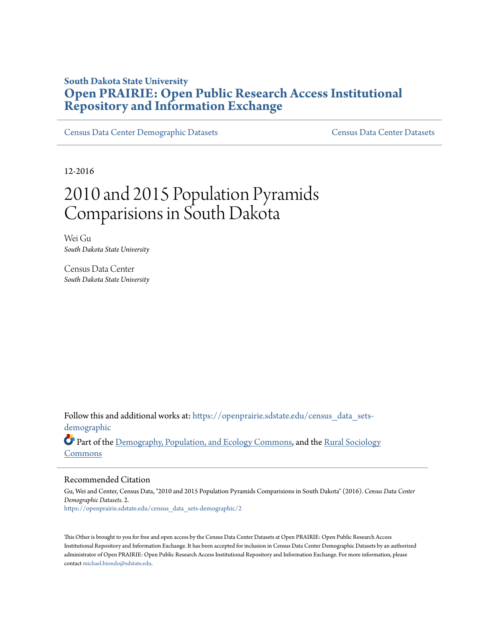## **South Dakota State University [Open PRAIRIE: Open Public Research Access Institutional](https://openprairie.sdstate.edu?utm_source=openprairie.sdstate.edu%2Fcensus_data_sets-demographic%2F2&utm_medium=PDF&utm_campaign=PDFCoverPages) [Repository and Information Exchange](https://openprairie.sdstate.edu?utm_source=openprairie.sdstate.edu%2Fcensus_data_sets-demographic%2F2&utm_medium=PDF&utm_campaign=PDFCoverPages)**

[Census Data Center Demographic Datasets](https://openprairie.sdstate.edu/census_data_sets-demographic?utm_source=openprairie.sdstate.edu%2Fcensus_data_sets-demographic%2F2&utm_medium=PDF&utm_campaign=PDFCoverPages) [Census Data Center Datasets](https://openprairie.sdstate.edu/census_data_sets?utm_source=openprairie.sdstate.edu%2Fcensus_data_sets-demographic%2F2&utm_medium=PDF&utm_campaign=PDFCoverPages)

12-2016

# 2010 and 2015 Population Pyramids Comparisions in South Dakota

Wei Gu *South Dakota State University*

Census Data Center *South Dakota State University*

Follow this and additional works at: [https://openprairie.sdstate.edu/census\\_data\\_sets](https://openprairie.sdstate.edu/census_data_sets-demographic?utm_source=openprairie.sdstate.edu%2Fcensus_data_sets-demographic%2F2&utm_medium=PDF&utm_campaign=PDFCoverPages)[demographic](https://openprairie.sdstate.edu/census_data_sets-demographic?utm_source=openprairie.sdstate.edu%2Fcensus_data_sets-demographic%2F2&utm_medium=PDF&utm_campaign=PDFCoverPages)

Part of the [Demography, Population, and Ecology Commons,](http://network.bepress.com/hgg/discipline/418?utm_source=openprairie.sdstate.edu%2Fcensus_data_sets-demographic%2F2&utm_medium=PDF&utm_campaign=PDFCoverPages) and the [Rural Sociology](http://network.bepress.com/hgg/discipline/428?utm_source=openprairie.sdstate.edu%2Fcensus_data_sets-demographic%2F2&utm_medium=PDF&utm_campaign=PDFCoverPages) [Commons](http://network.bepress.com/hgg/discipline/428?utm_source=openprairie.sdstate.edu%2Fcensus_data_sets-demographic%2F2&utm_medium=PDF&utm_campaign=PDFCoverPages)

#### Recommended Citation

Gu, Wei and Center, Census Data, "2010 and 2015 Population Pyramids Comparisions in South Dakota" (2016). *Census Data Center Demographic Datasets*. 2. [https://openprairie.sdstate.edu/census\\_data\\_sets-demographic/2](https://openprairie.sdstate.edu/census_data_sets-demographic/2?utm_source=openprairie.sdstate.edu%2Fcensus_data_sets-demographic%2F2&utm_medium=PDF&utm_campaign=PDFCoverPages)

This Other is brought to you for free and open access by the Census Data Center Datasets at Open PRAIRIE: Open Public Research Access Institutional Repository and Information Exchange. It has been accepted for inclusion in Census Data Center Demographic Datasets by an authorized administrator of Open PRAIRIE: Open Public Research Access Institutional Repository and Information Exchange. For more information, please contact [michael.biondo@sdstate.edu](mailto:michael.biondo@sdstate.edu).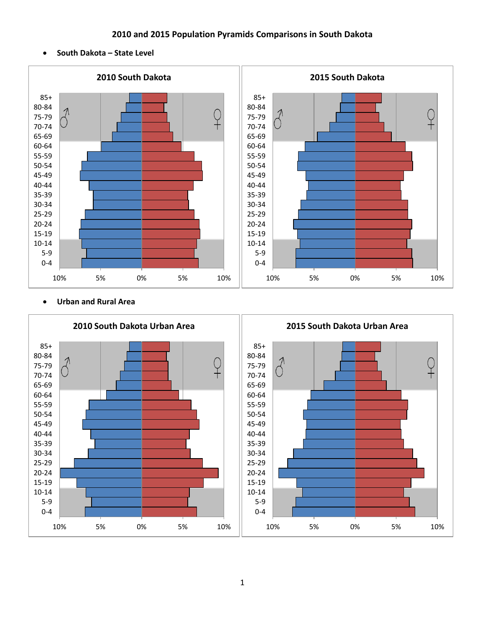### **2010 and 2015 Population Pyramids Comparisons in South Dakota**

**South Dakota – State Level**



#### **Urban and Rural Area**

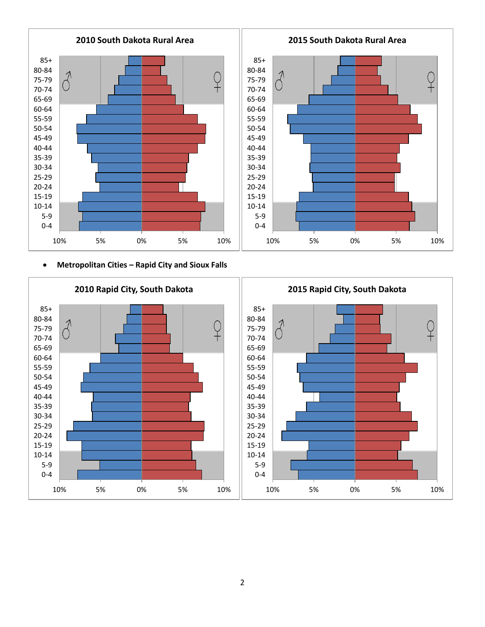

**Metropolitan Cities – Rapid City and Sioux Falls**